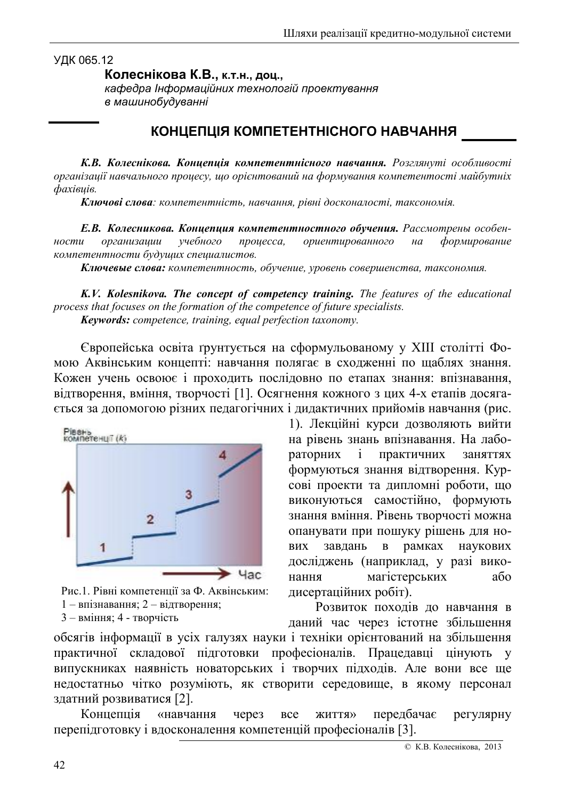УДК 065.12

Колеснікова К.В., к.т.н., доц.,

кафедра Інформаційних технологій проектування в машинобудуванні

## КОНЦЕПЦІЯ КОМПЕТЕНТНІСНОГО НАВЧАННЯ

К.В. Колеснікова. Концепція компетентнісного навчання. Розглянуті особливості організації навчального процесу, що орієнтований на формування компетентості майбутніх  $\varphi$ axieuie.

Ключові слова: компетентність, навчання, рівні досконалості, таксономія.

Е.В. Колесникова. Кониепиия компетентностного обучения. Рассмотрены особенориентированного ности организации учебного процесса,  $Ha$ формирование компетентности будущих специалистов.

Ключевые слова: компетентность, обучение, уровень совершенства, таксономия.

K.V. Kolesnikova. The concept of competency training. The features of the educational process that focuses on the formation of the competence of future specialists. **Keywords:** competence, training, equal perfection taxonomy.

Європейська освіта ґрунтується на сформульованому у XIII столітті Фомою Аквінським концепті: навчання полягає в сходженні по щаблях знання. Кожен учень освою с і проходить послідовно по етапах знання: впізнавання, відтворення, вміння, творчості [1]. Осягнення кожного з цих 4-х етапів досягається за допомогою різних педагогічних і дидактичних прийомів навчання (рис.



Рис.1. Рівні компетенції за Ф. Аквінським: 1 - впізнавання; 2 - відтворення;

3 - вміння; 4 - творчість

1). Лекційні курси дозволяють вийти на рівень знань впізнавання. На лабораторних  $\mathbf{i}$ практичних заняттях формуються знання відтворення. Курсові проекти та дипломні роботи, що виконуються самостійно, формують знання вміння. Рівень творчості можна опанувати при пошуку рішень для нозавлань в рамках наукових **BUX** досліджень (наприклад, у разі викомагістерських нання  $a\bar{0}$ дисертаційних робіт).

Розвиток походів до навчання в даний час через істотне збільшення

обсягів інформації в усіх галузях науки і техніки орієнтований на збільшення практичної складової підготовки професіоналів. Працедавці цінують у випускниках наявність новаторських і творчих підходів. Але вони все ще недостатньо чітко розуміють, як створити середовище, в якому персонал здатний розвиватися [2].

Концепція «навчання через передбачає **BCC KRTTNX** регулярну перепідготовку і вдосконалення компетенцій професіоналів [3].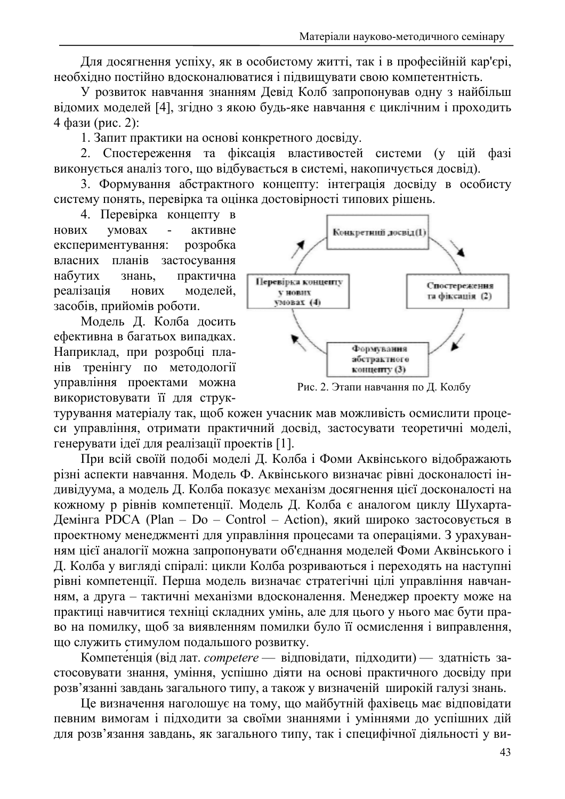Для досягнення успіху, як в особистому житті, так і в професійній кар'єрі, необхідно постійно вдосконалюватися і підвищувати свою компетентність.

У розвиток навчання знанням Девід Колб запропонував одну з найбільш відомих моделей [4], згідно з якою будь-яке навчання є циклічним і проходить 4 фази (рис. 2):

1. Запит практики на основі конкретного досвіду.

2. Спостереження та фіксація властивостей системи (у цій фазі виконується аналіз того, що відбувається в системі, накопичується досвід).

3. Формування абстрактного концепту: інтеграція досвіду в особисту систему понять, перевірка та оцінка достовірності типових рішень.

4. Перевірка концепту в умовах активне нових експериментування: розробка власних планів застосування набутих знань, практична реалізація моделей, **НОВИХ** засобів, прийомів роботи.

Модель Д. Колба досить ефективна в багатьох випадках. Наприклад, при розробці планів тренінгу по методології управління проектами можна використовувати її для струк-



Рис. 2. Этапи навчання по Д. Колбу

турування матеріалу так, щоб кожен учасник мав можливість осмислити процеси управління, отримати практичний досвід, застосувати теоретичні моделі, генерувати ідеї для реалізації проектів [1].

При всій своїй подобі моделі Д. Колба і Фоми Аквінського відображають різні аспекти навчання. Модель Ф. Аквінського визначає рівні досконалості індивідуума, а модель Д. Колба показує механізм досягнення цієї досконалості на кожному р рівнів компетенції. Модель Д. Колба є аналогом циклу Шухарта-Демінга PDCA (Plan - Do - Control - Action), який широко застосовується в проектному менеджменті для управління процесами та операціями. З урахуванням цієї аналогії можна запропонувати об'єднання моделей Фоми Аквінського і Д. Колба у вигляді спіралі: цикли Колба розриваються і переходять на наступні рівні компетенції. Перша модель визначає стратегічні цілі управління навчанням, а друга - тактичні механізми вдосконалення. Менеджер проекту може на практиці навчитися техніці складних умінь, але для цього у нього має бути право на помилку, щоб за виявленням помилки було її осмислення і виправлення, що служить стимулом подальшого розвитку.

Компетенція (від лат. competere — відповідати, підходити) — здатність застосовувати знання, уміння, успішно діяти на основі практичного досвіду при розв'язанні завдань загального типу, а також у визначеній широкій галузі знань.

Це визначення наголошує на тому, що майбутній фахівець має відповідати певним вимогам і підходити за своїми знаннями і уміннями до успішних дій для розв'язання завдань, як загального типу, так і специфічної діяльності у ви-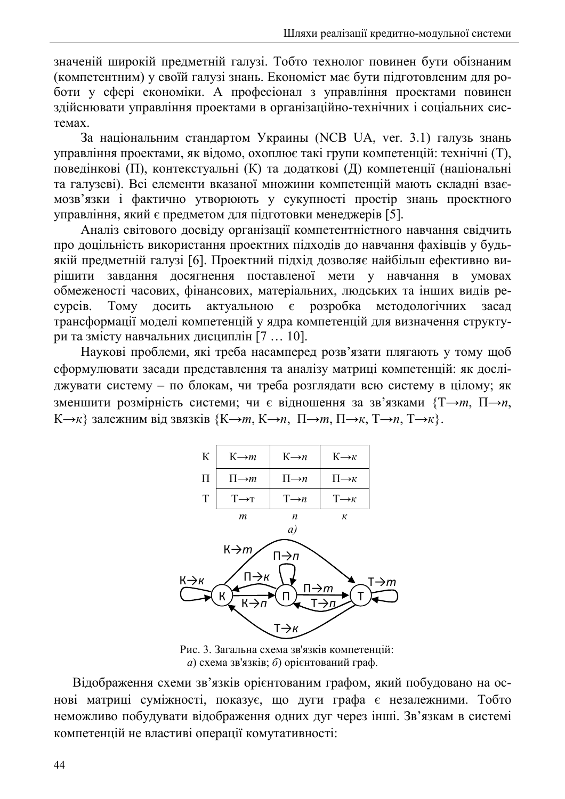значеній широкій предметній галузі. Тобто технолог повинен бути обізнаним (компетентним) у своїй галузі знань. Економіст має бути підготовленим для роботи у сфері економіки. А професіонал з управління проектами повинен здійснювати управління проектами в організаційно-технічних і соціальних системах

За національним стандартом Украины (NCB UA, ver. 3.1) галузь знань управління проектами, як віломо, охоплює такі групи компетенцій: технічні (T). поведінкові (П), контекстуальні (К) та додаткові (Д) компетенції (національні та галузеві). Всі елементи вказаної множини компетенцій мають складні взаємозв'язки і фактично утворюють у сукупності простір знань проектного управління, який є предметом для підготовки менеджерів [5].

Аналіз світового досвіду організації компетентністного навчання свідчить про доцільність використання проектних підходів до навчання фахівців у будьякій предметній галузі [6]. Проектний підхід дозволяє найбільш ефективно визавдання досягнення поставленої мети у навчання в умовах рішити обмеженості часових, фінансових, матеріальних, людських та інших видів ре-TOMV досить актуальною є розробка методологічних cypci<sub>B</sub>. засад трансформації моделі компетенцій у ядра компетенцій для визначення структури та змісту навчальних дисциплін [7 ... 10].

Наукові проблеми, які треба насамперед розв'язати плягають у тому щоб сформулювати засади представлення та аналізу матриці компетенцій: як досліджувати систему - по блокам, чи треба розглядати всю систему в цілому; як зменшити розмірність системи; чи є відношення за зв'язками {Т→т, П→п,  $K\rightarrow K$ } залежним від звязків { $K\rightarrow m$ ,  $K\rightarrow n$ ,  $\Pi\rightarrow m$ ,  $\Pi\rightarrow K$ ,  $T\rightarrow n$ ,  $T\rightarrow K$ }.



Рис. 3. Загальна схема зв'язків компетенцій:  $a)$  схема зв'язків; б) орієнтований граф.

Відображення схеми зв'язків орієнтованим графом, який побудовано на основі матриці суміжності, показує, що дуги графа є незалежними. Тобто неможливо побудувати відображення одних дуг через інші. Зв'язкам в системі компетенцій не властиві операції комутативності: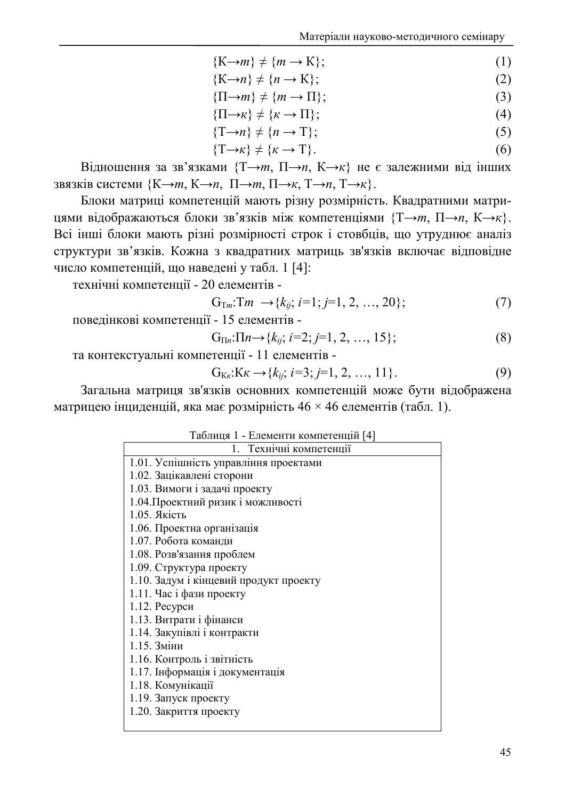- ${K\rightarrow m} \neq {m \rightarrow K};$  $(1)$
- ${K\rightarrow n} \neq {n \rightarrow K}$ ;  $(2)$
- $\{\Pi \rightarrow m\} \neq \{m \rightarrow \Pi\};$  $(3)$
- $\{\Pi\rightarrow\kappa\}\neq\{\kappa\rightarrow\Pi\};$  $(4)$
- $\{T\rightarrow n\} \neq \{n \rightarrow T\};$  $(5)$
- $\{T \rightarrow \kappa\} \neq \{\kappa \rightarrow T\}.$  $(6)$

Відношення за зв'язками  $\{T \rightarrow m, \Pi \rightarrow n, K \rightarrow \kappa\}$  не є залежними від інших звязків системи  $\{K \rightarrow m, K \rightarrow n, \Pi \rightarrow m, \Pi \rightarrow \kappa, T \rightarrow n, T \rightarrow \kappa\}.$ 

Блоки матриці компетенцій мають різну розмірність. Квадратними матрицями відображаються блоки зв'язків між компетенціями  $\{T \rightarrow m, \Pi \rightarrow n, K \rightarrow \kappa\}$ . Всі інші блоки мають різні розмірності строк і стовбців, що утруднює аналіз структури зв'язків. Кожна з квадратних матриць зв'язків включає відповідне число компетенцій, що наведені у табл. 1 [4]:

технічні компетенції - 20 елементів -

$$
G_{Tm}: Tm \to \{k_{ij}; i=1; j=1, 2, ..., 20\};
$$
 (7)

поведінкові компетенції - 15 елементів -

$$
G_{\Pi n}:\Pi n \to \{k_{ij};\ i=2; j=1, 2, \dots, 15\};\tag{8}
$$

та контекстуальні компетенції - 11 елементів -

$$
G_{Kk}:Kk \to \{k_{ij}; i=3; j=1, 2, ..., 11\}.
$$
\n(9)

Загальна матриця зв'язків основних компетенцій може бути відображена матрицею інциденцій, яка має розмірність  $46 \times 46$  елементів (табл. 1).

| Таблиця 1 - Елементи компетенцій [4] |  |  |
|--------------------------------------|--|--|
|--------------------------------------|--|--|

| т иолици т<br>$L_{\nu}$ . $L_{\nu}$ $\sim$ $L_{\nu}$ $\sim$ $L_{\nu}$ $\sim$ $L_{\nu}$ $\sim$ $L_{\nu}$ $\sim$ $L_{\nu}$ $\sim$ $L_{\nu}$ |
|-------------------------------------------------------------------------------------------------------------------------------------------|
| 1. Технічні компетенції                                                                                                                   |
| 1.01. Успішність управління проектами                                                                                                     |
| 1.02. Зацікавлені сторони                                                                                                                 |
| 1.03. Вимоги і задачі проекту                                                                                                             |
| 1.04. Проектний ризик і можливості                                                                                                        |
| 1.05. Якість                                                                                                                              |
| 1.06. Проектна організація                                                                                                                |
| 1.07. Робота команди                                                                                                                      |
| 1.08. Розв'язання проблем                                                                                                                 |
| 1.09. Структура проекту                                                                                                                   |
| 1.10. Задум і кінцевий продукт проекту                                                                                                    |
| 1.11. Час і фази проекту                                                                                                                  |
| 1.12. Ресурси                                                                                                                             |
| 1.13. Витрати і фінанси                                                                                                                   |
| 1.14. Закупівлі і контракти                                                                                                               |
| 1.15. Зміни                                                                                                                               |
| 1.16. Контроль і звітність                                                                                                                |
| 1.17. Інформація і документація                                                                                                           |
| 1.18. Комунікації                                                                                                                         |
| 1.19. Запуск проекту                                                                                                                      |
| 1.20. Закриття проекту                                                                                                                    |
|                                                                                                                                           |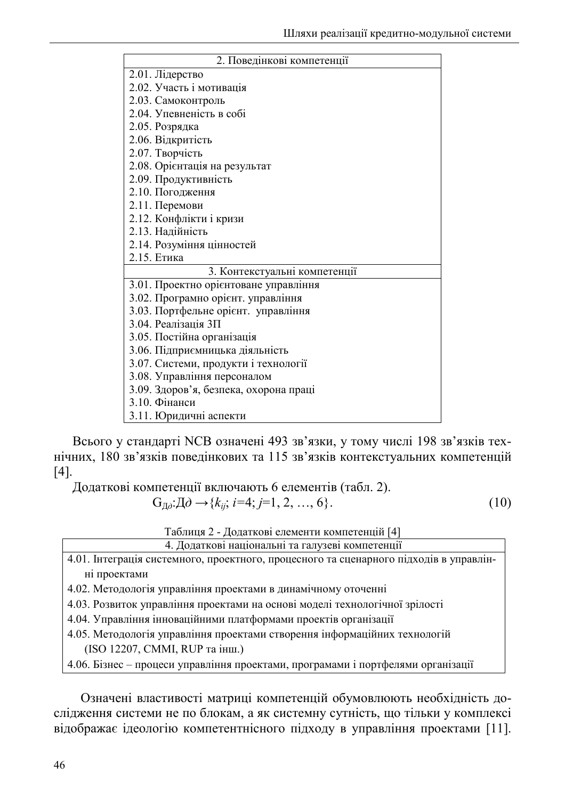| 2. Поведінкові компетенції             |
|----------------------------------------|
| 2.01. Лідерство                        |
| 2.02. Участь і мотивація               |
| 2.03. Самоконтроль                     |
| 2.04. Упевненість в собі               |
| 2.05. Розрядка                         |
| 2.06. Відкритість                      |
| 2.07. Творчість                        |
| 2.08. Орієнтація на результат          |
| 2.09. Продуктивність                   |
| 2.10. Погодження                       |
| 2.11. Перемови                         |
| 2.12. Конфлікти і кризи                |
| 2.13. Надійність                       |
| 2.14. Розуміння цінностей              |
| 2.15. Етика                            |
| 3. Контекстуальні компетенції          |
| 3.01. Проектно орієнтоване управління  |
| 3.02. Програмно орієнт. управління     |
| 3.03. Портфельне орієнт. управління    |
| 3.04. Реалізація ЗП                    |
| 3.05. Постійна організація             |
| 3.06. Підприємницька діяльність        |
| 3.07. Системи, продукти і технології   |
| 3.08. Управління персоналом            |
| 3.09. Здоров'я, безпека, охорона праці |
| 3.10. Фінанси                          |
| 3.11. Юридичні аспекти                 |

Всього у стандарті NCB означені 493 зв'язки, у тому числі 198 зв'язків технічних, 180 зв'язків поведінкових та 115 зв'язків контекстуальних компетенцій  $[4]$ .

Додаткові компетенції включають 6 елементів (табл. 2).

$$
G_{\text{A}0}: \text{A}0 \to \{k_{ij}; i=4; j=1, 2, ..., 6\}.
$$
 (10)

Таблиця 2 - Додаткові елементи компетенцій [4]

4. Додаткові національні та галузеві компетенції

4.01. Інтеграція системного, проектного, процесного та сценарного підходів в управлінні проектами

4.02. Методологія управління проектами в динамічному оточенні

4.03. Розвиток управління проектами на основі моделі технологічної зрілості

4.04. Управління інноваційними платформами проектів організації

4.05. Методологія управління проектами створення інформаційних технологій (ISO 12207, CMMI, RUP та інш.)

4.06. Бізнес - процеси управління проектами, програмами і портфелями організації

Означені властивості матриці компетенцій обумовлюють необхідність дослідження системи не по блокам, а як системну сутність, що тільки у комплексі відображає ідеологію компетентнісного підходу в управління проектами [11].